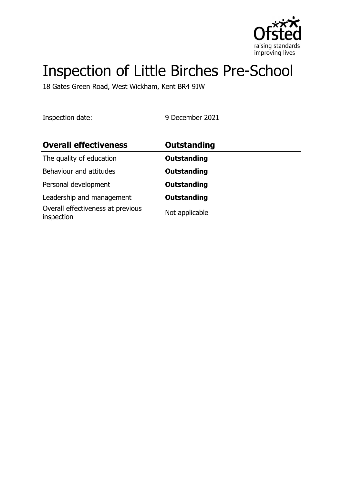

# Inspection of Little Birches Pre-School

18 Gates Green Road, West Wickham, Kent BR4 9JW

Inspection date: 9 December 2021

| <b>Overall effectiveness</b>                    | Outstanding        |  |
|-------------------------------------------------|--------------------|--|
| The quality of education                        | <b>Outstanding</b> |  |
| Behaviour and attitudes                         | <b>Outstanding</b> |  |
| Personal development                            | <b>Outstanding</b> |  |
| Leadership and management                       | <b>Outstanding</b> |  |
| Overall effectiveness at previous<br>inspection | Not applicable     |  |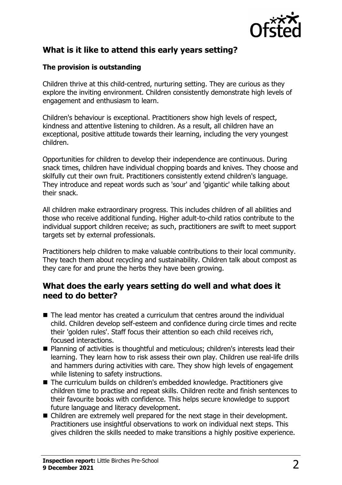

## **What is it like to attend this early years setting?**

### **The provision is outstanding**

Children thrive at this child-centred, nurturing setting. They are curious as they explore the inviting environment. Children consistently demonstrate high levels of engagement and enthusiasm to learn.

Children's behaviour is exceptional. Practitioners show high levels of respect, kindness and attentive listening to children. As a result, all children have an exceptional, positive attitude towards their learning, including the very youngest children.

Opportunities for children to develop their independence are continuous. During snack times, children have individual chopping boards and knives. They choose and skilfully cut their own fruit. Practitioners consistently extend children's language. They introduce and repeat words such as 'sour' and 'gigantic' while talking about their snack.

All children make extraordinary progress. This includes children of all abilities and those who receive additional funding. Higher adult-to-child ratios contribute to the individual support children receive; as such, practitioners are swift to meet support targets set by external professionals.

Practitioners help children to make valuable contributions to their local community. They teach them about recycling and sustainability. Children talk about compost as they care for and prune the herbs they have been growing.

## **What does the early years setting do well and what does it need to do better?**

- $\blacksquare$  The lead mentor has created a curriculum that centres around the individual child. Children develop self-esteem and confidence during circle times and recite their 'golden rules'. Staff focus their attention so each child receives rich, focused interactions.
- Planning of activities is thoughtful and meticulous; children's interests lead their learning. They learn how to risk assess their own play. Children use real-life drills and hammers during activities with care. They show high levels of engagement while listening to safety instructions.
- The curriculum builds on children's embedded knowledge. Practitioners give children time to practise and repeat skills. Children recite and finish sentences to their favourite books with confidence. This helps secure knowledge to support future language and literacy development.
- $\blacksquare$  Children are extremely well prepared for the next stage in their development. Practitioners use insightful observations to work on individual next steps. This gives children the skills needed to make transitions a highly positive experience.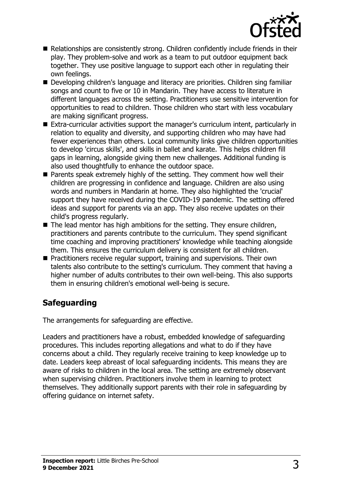

- $\blacksquare$  Relationships are consistently strong. Children confidently include friends in their play. They problem-solve and work as a team to put outdoor equipment back together. They use positive language to support each other in regulating their own feelings.
- Developing children's language and literacy are priorities. Children sing familiar songs and count to five or 10 in Mandarin. They have access to literature in different languages across the setting. Practitioners use sensitive intervention for opportunities to read to children. Those children who start with less vocabulary are making significant progress.
- Extra-curricular activities support the manager's curriculum intent, particularly in relation to equality and diversity, and supporting children who may have had fewer experiences than others. Local community links give children opportunities to develop 'circus skills', and skills in ballet and karate. This helps children fill gaps in learning, alongside giving them new challenges. Additional funding is also used thoughtfully to enhance the outdoor space.
- $\blacksquare$  Parents speak extremely highly of the setting. They comment how well their children are progressing in confidence and language. Children are also using words and numbers in Mandarin at home. They also highlighted the 'crucial' support they have received during the COVID-19 pandemic. The setting offered ideas and support for parents via an app. They also receive updates on their child's progress regularly.
- $\blacksquare$  The lead mentor has high ambitions for the setting. They ensure children, practitioners and parents contribute to the curriculum. They spend significant time coaching and improving practitioners' knowledge while teaching alongside them. This ensures the curriculum delivery is consistent for all children.
- Practitioners receive regular support, training and supervisions. Their own talents also contribute to the setting's curriculum. They comment that having a higher number of adults contributes to their own well-being. This also supports them in ensuring children's emotional well-being is secure.

# **Safeguarding**

The arrangements for safeguarding are effective.

Leaders and practitioners have a robust, embedded knowledge of safeguarding procedures. This includes reporting allegations and what to do if they have concerns about a child. They regularly receive training to keep knowledge up to date. Leaders keep abreast of local safeguarding incidents. This means they are aware of risks to children in the local area. The setting are extremely observant when supervising children. Practitioners involve them in learning to protect themselves. They additionally support parents with their role in safeguarding by offering guidance on internet safety.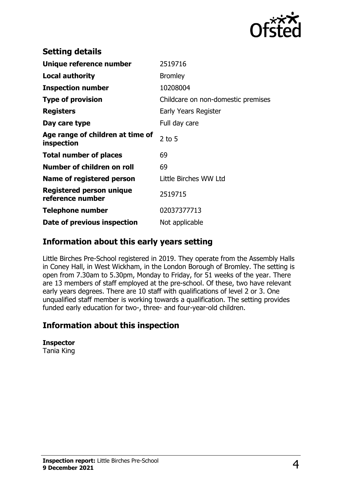

| <b>Setting details</b>                              |                                    |
|-----------------------------------------------------|------------------------------------|
| Unique reference number                             | 2519716                            |
| <b>Local authority</b>                              | <b>Bromley</b>                     |
| <b>Inspection number</b>                            | 10208004                           |
| <b>Type of provision</b>                            | Childcare on non-domestic premises |
| <b>Registers</b>                                    | Early Years Register               |
| Day care type                                       | Full day care                      |
| Age range of children at time of<br>inspection      | $2$ to 5                           |
| <b>Total number of places</b>                       | 69                                 |
| Number of children on roll                          | 69                                 |
| Name of registered person                           | Little Birches WW Ltd              |
| <b>Registered person unique</b><br>reference number | 2519715                            |
| <b>Telephone number</b>                             | 02037377713                        |
| Date of previous inspection                         | Not applicable                     |

## **Information about this early years setting**

Little Birches Pre-School registered in 2019. They operate from the Assembly Halls in Coney Hall, in West Wickham, in the London Borough of Bromley. The setting is open from 7.30am to 5.30pm, Monday to Friday, for 51 weeks of the year. There are 13 members of staff employed at the pre-school. Of these, two have relevant early years degrees. There are 10 staff with qualifications of level 2 or 3. One unqualified staff member is working towards a qualification. The setting provides funded early education for two-, three- and four-year-old children.

## **Information about this inspection**

**Inspector** Tania King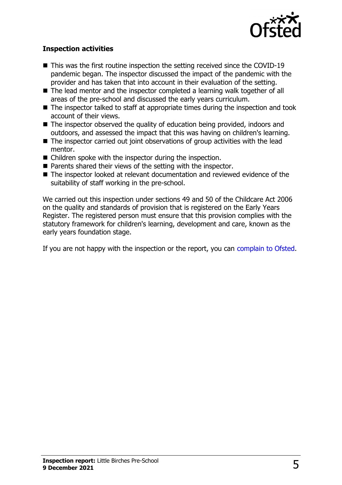

#### **Inspection activities**

- $\blacksquare$  This was the first routine inspection the setting received since the COVID-19 pandemic began. The inspector discussed the impact of the pandemic with the provider and has taken that into account in their evaluation of the setting.
- The lead mentor and the inspector completed a learning walk together of all areas of the pre-school and discussed the early years curriculum.
- $\blacksquare$  The inspector talked to staff at appropriate times during the inspection and took account of their views.
- $\blacksquare$  The inspector observed the quality of education being provided, indoors and outdoors, and assessed the impact that this was having on children's learning.
- $\blacksquare$  The inspector carried out joint observations of group activities with the lead mentor.
- $\blacksquare$  Children spoke with the inspector during the inspection.
- $\blacksquare$  Parents shared their views of the setting with the inspector.
- The inspector looked at relevant documentation and reviewed evidence of the suitability of staff working in the pre-school.

We carried out this inspection under sections 49 and 50 of the Childcare Act 2006 on the quality and standards of provision that is registered on the Early Years Register. The registered person must ensure that this provision complies with the statutory framework for children's learning, development and care, known as the early years foundation stage.

If you are not happy with the inspection or the report, you can [complain to Ofsted](http://www.gov.uk/complain-ofsted-report).